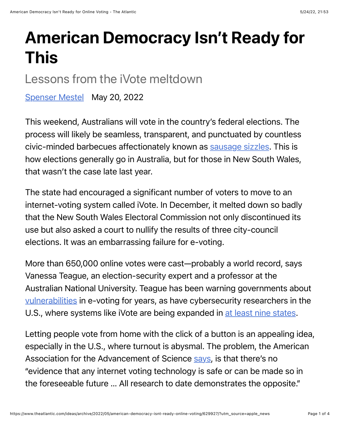## American Democracy Isn't Ready for This

## Lessons from the iVote meltdown

[Spenser Mestel](https://www.theatlantic.com/author/spenser-mestel/) May 20, 2022

This weekend, Australians will vote in the country's federal elections. The process will likely be seamless, transparent, and punctuated by countless civic-minded barbecues affectionately known as [sausage sizzles.](https://democracysausage.org/) This is how elections generally go in Australia, but for those in New South Wales, that wasn't the case late last year.

The state had encouraged a significant number of voters to move to an internet-voting system called iVote. In December, it melted down so badly that the New South Wales Electoral Commission not only discontinued its use but also asked a court to nullify the results of three city-council elections. It was an embarrassing failure for e-voting.

More than 650,000 online votes were cast—probably a world record, says Vanessa Teague, an election-security expert and a professor at the Australian National University. Teague has been warning governments about [vulnerabilities](https://www.zdnet.com/article/flaws-found-in-nsw-ivote-system-yet-again/) in e-voting for years, as have cybersecurity researchers in the U.S., where systems like iVote are being expanded in [at least nine states.](https://www.pewtrusts.org/en/research-and-analysis/blogs/stateline/2021/02/17/despite-security-concerns-online-voting-advances)

Letting people vote from home with the click of a button is an appealing idea, especially in the U.S., where turnout is abysmal. The problem, the American Association for the Advancement of Science [says,](https://www.aaas.org/epi-center/internet-online-voting) is that there's no "evidence that any internet voting technology is safe or can be made so in the foreseeable future … All research to date demonstrates the opposite."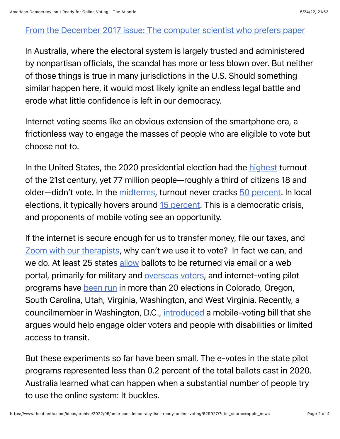## [From the December 2017 issue: The computer scientist who prefers paper](https://www.theatlantic.com/magazine/archive/2017/12/guardian-of-the-vote/544155/)

In Australia, where the electoral system is largely trusted and administered by nonpartisan officials, the scandal has more or less blown over. But neither of those things is true in many jurisdictions in the U.S. Should something similar happen here, it would most likely ignite an endless legal battle and erode what little confidence is left in our democracy.

Internet voting seems like an obvious extension of the smartphone era, a frictionless way to engage the masses of people who are eligible to vote but choose not to.

In the United States, the 2020 presidential election had the [highest](https://www.census.gov/newsroom/press-releases/2021/2020-presidential-election-voting-and-registration-tables-now-available.html) turnout of the 21st century, yet 77 million people—roughly a third of citizens 18 and older—didn't vote. In the [midterms](https://www.theatlantic.com/politics/archive/2018/11/americans-dont-vote-midterms-arizona/575002/), turnout never cracks [50 percent.](https://www.fairvote.org/voter_turnout#voter_turnout_101) In local elections, it typically hovers around [15 percent.](http://whovotesformayor.org/) This is a democratic crisis, and proponents of mobile voting see an opportunity.

If the internet is secure enough for us to transfer money, file our taxes, and [Zoom with our therapists](https://www.theatlantic.com/health/archive/2020/05/virtual-therapy-pandemic/611551/), why can't we use it to vote? In fact we can, and we do. At least 25 states [allow](https://bipartisanpolicy.org/report/balancing-security-access-and-privacy-in-electronic-ballot-transmission/) ballots to be returned via email or a web portal, primarily for military and **overseas voters**, and internet-voting pilot programs have [been run](https://mobilevoting.org/about/) in more than 20 elections in Colorado, Oregon, South Carolina, Utah, Virginia, Washington, and West Virginia. Recently, a councilmember in Washington, D.C., [introduced](https://www.brookepintodc.com/newsroom/mobilevote) a mobile-voting bill that she argues would help engage older voters and people with disabilities or limited access to transit.

But these experiments so far have been small. The e-votes in the state pilot programs represented less than 0.2 percent of the total ballots cast in 2020. Australia learned what can happen when a substantial number of people try to use the online system: It buckles.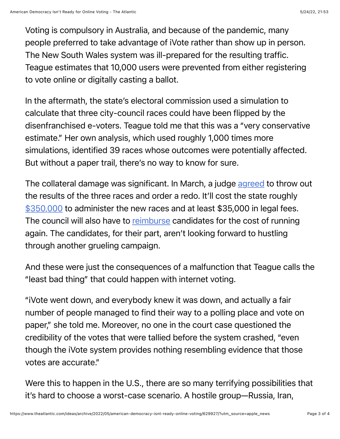Voting is compulsory in Australia, and because of the pandemic, many people preferred to take advantage of iVote rather than show up in person. The New South Wales system was ill-prepared for the resulting traffic. Teague estimates that 10,000 users were prevented from either registering to vote online or digitally casting a ballot.

In the aftermath, the state's electoral commission used a simulation to calculate that three city-council races could have been flipped by the disenfranchised e-voters. Teague told me that this was a "very conservative estimate." Her own analysis, which used roughly 1,000 times more simulations, identified 39 races whose outcomes were potentially affected. But without a paper trail, there's no way to know for sure.

The collateral damage was significant. In March, a judge [agreed](https://www.caselaw.nsw.gov.au/decision/17f913a39e2ade551b821020#_Toc98140364) to throw out the results of the three races and order a redo. It'll cost the state roughly \$[350,000](https://www.abc.net.au/news/2022-03-24/taxpayers-to-pay-for-nsw-council-elections-after-ivote-fail/100933200) to administer the new races and at least \$35,000 in legal fees. The council will also have to [reimburse](https://www.abc.net.au/news/2022-04-06/kempsey-councillors-react-to-ivote-compensation/100968926) candidates for the cost of running again. The candidates, for their part, aren't looking forward to hustling through another grueling campaign.

And these were just the consequences of a malfunction that Teague calls the "least bad thing" that could happen with internet voting.

"iVote went down, and everybody knew it was down, and actually a fair number of people managed to find their way to a polling place and vote on paper," she told me. Moreover, no one in the court case questioned the credibility of the votes that were tallied before the system crashed, "even though the iVote system provides nothing resembling evidence that those votes are accurate."

Were this to happen in the U.S., there are so many terrifying possibilities that it's hard to choose a worst-case scenario. A hostile group—Russia, Iran,